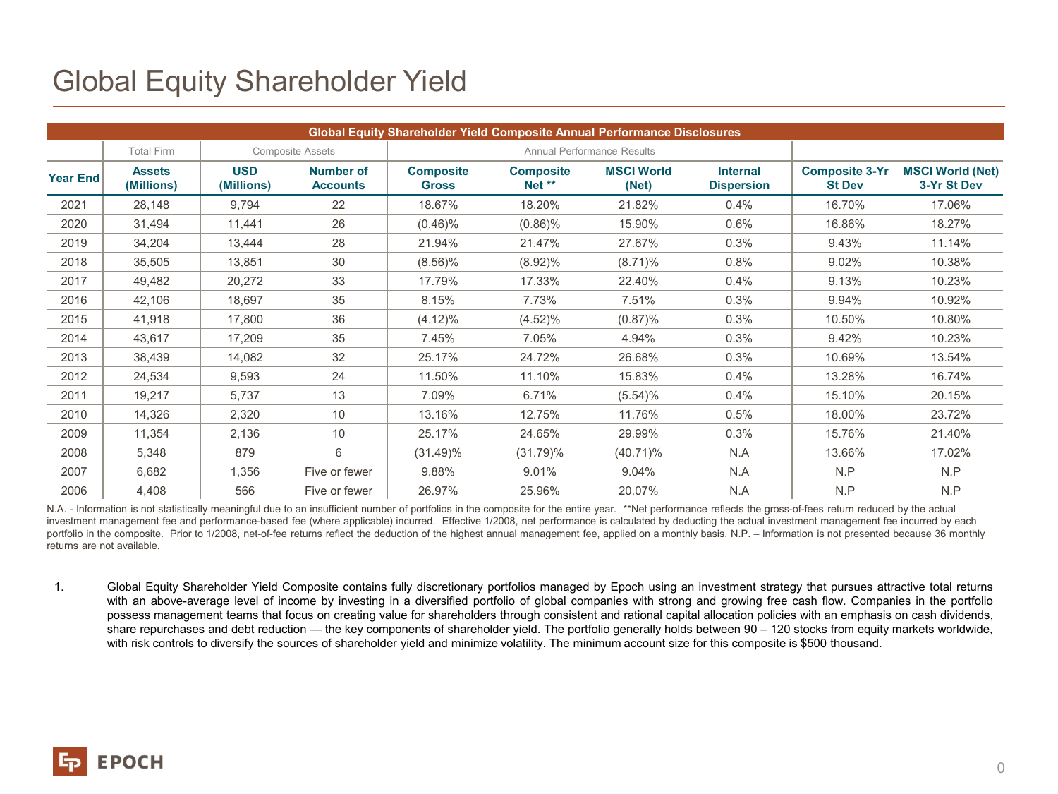## Global Equity Shareholder Yield

| <b>Global Equity Shareholder Yield Composite Annual Performance Disclosures</b> |                             |                          |                                     |                                   |                            |                            |                                      |                                        |                                        |
|---------------------------------------------------------------------------------|-----------------------------|--------------------------|-------------------------------------|-----------------------------------|----------------------------|----------------------------|--------------------------------------|----------------------------------------|----------------------------------------|
|                                                                                 | <b>Total Firm</b>           |                          | <b>Composite Assets</b>             | <b>Annual Performance Results</b> |                            |                            |                                      |                                        |                                        |
| <b>Year End</b>                                                                 | <b>Assets</b><br>(Millions) | <b>USD</b><br>(Millions) | <b>Number of</b><br><b>Accounts</b> | <b>Composite</b><br><b>Gross</b>  | <b>Composite</b><br>Net ** | <b>MSCI World</b><br>(Net) | <b>Internal</b><br><b>Dispersion</b> | <b>Composite 3-Yr</b><br><b>St Dev</b> | <b>MSCI World (Net)</b><br>3-Yr St Dev |
| 2021                                                                            | 28,148                      | 9,794                    | 22                                  | 18.67%                            | 18.20%                     | 21.82%                     | 0.4%                                 | 16.70%                                 | 17.06%                                 |
| 2020                                                                            | 31,494                      | 11,441                   | 26                                  | $(0.46)\%$                        | $(0.86)\%$                 | 15.90%                     | 0.6%                                 | 16.86%                                 | 18.27%                                 |
| 2019                                                                            | 34,204                      | 13,444                   | 28                                  | 21.94%                            | 21.47%                     | 27.67%                     | 0.3%                                 | 9.43%                                  | 11.14%                                 |
| 2018                                                                            | 35,505                      | 13,851                   | 30                                  | $(8.56)\%$                        | $(8.92)\%$                 | $(8.71)\%$                 | 0.8%                                 | 9.02%                                  | 10.38%                                 |
| 2017                                                                            | 49,482                      | 20,272                   | 33                                  | 17.79%                            | 17.33%                     | 22.40%                     | 0.4%                                 | 9.13%                                  | 10.23%                                 |
| 2016                                                                            | 42,106                      | 18,697                   | 35                                  | 8.15%                             | 7.73%                      | 7.51%                      | 0.3%                                 | 9.94%                                  | 10.92%                                 |
| 2015                                                                            | 41,918                      | 17,800                   | 36                                  | $(4.12)\%$                        | $(4.52)\%$                 | $(0.87)\%$                 | 0.3%                                 | 10.50%                                 | 10.80%                                 |
| 2014                                                                            | 43,617                      | 17,209                   | 35                                  | 7.45%                             | 7.05%                      | 4.94%                      | 0.3%                                 | 9.42%                                  | 10.23%                                 |
| 2013                                                                            | 38,439                      | 14,082                   | 32                                  | 25.17%                            | 24.72%                     | 26.68%                     | 0.3%                                 | 10.69%                                 | 13.54%                                 |
| 2012                                                                            | 24,534                      | 9,593                    | 24                                  | 11.50%                            | 11.10%                     | 15.83%                     | 0.4%                                 | 13.28%                                 | 16.74%                                 |
| 2011                                                                            | 19,217                      | 5,737                    | 13                                  | 7.09%                             | 6.71%                      | $(5.54)\%$                 | 0.4%                                 | 15.10%                                 | 20.15%                                 |
| 2010                                                                            | 14,326                      | 2,320                    | 10                                  | 13.16%                            | 12.75%                     | 11.76%                     | 0.5%                                 | 18.00%                                 | 23.72%                                 |
| 2009                                                                            | 11,354                      | 2,136                    | 10                                  | 25.17%                            | 24.65%                     | 29.99%                     | 0.3%                                 | 15.76%                                 | 21.40%                                 |
| 2008                                                                            | 5,348                       | 879                      | 6                                   | $(31.49)\%$                       | $(31.79)\%$                | $(40.71)\%$                | N.A                                  | 13.66%                                 | 17.02%                                 |
| 2007                                                                            | 6,682                       | 1,356                    | Five or fewer                       | 9.88%                             | 9.01%                      | 9.04%                      | N.A                                  | N.P                                    | N.P                                    |
| 2006                                                                            | 4,408                       | 566                      | Five or fewer                       | 26.97%                            | 25.96%                     | 20.07%                     | N.A                                  | N.P                                    | N.P                                    |

N.A. - Information is not statistically meaningful due to an insufficient number of portfolios in the composite for the entire year. \*\*Net performance reflects the gross-of-fees return reduced by the actual investment management fee and performance-based fee (where applicable) incurred. Effective 1/2008, net performance is calculated by deducting the actual investment management fee incurred by each portfolio in the composite. Prior to 1/2008, net-of-fee returns reflect the deduction of the highest annual management fee, applied on a monthly basis. N.P. – Information is not presented because 36 monthly returns are not available.

1. Global Equity Shareholder Yield Composite contains fully discretionary portfolios managed by Epoch using an investment strategy that pursues attractive total returns with an above-average level of income by investing in a diversified portfolio of global companies with strong and growing free cash flow. Companies in the portfolio possess management teams that focus on creating value for shareholders through consistent and rational capital allocation policies with an emphasis on cash dividends, share repurchases and debt reduction — the key components of shareholder yield. The portfolio generally holds between 90 – 120 stocks from equity markets worldwide, with risk controls to diversify the sources of shareholder yield and minimize volatility. The minimum account size for this composite is \$500 thousand.

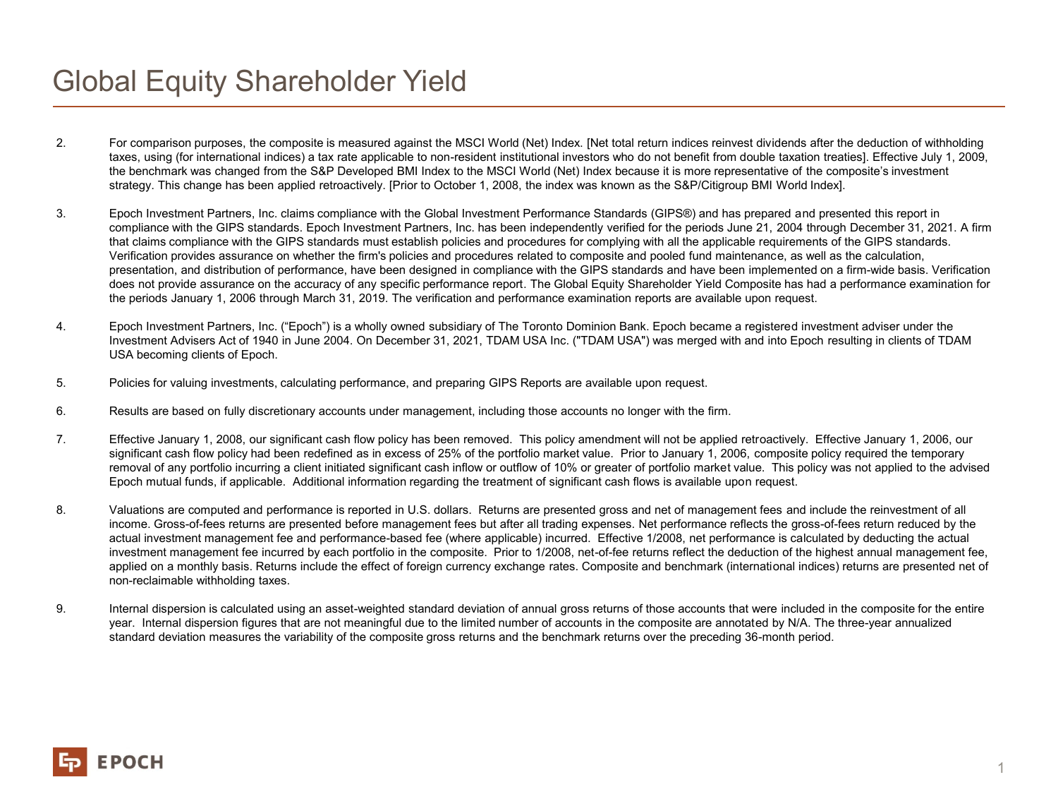## Global Equity Shareholder Yield

- 2. For comparison purposes, the composite is measured against the MSCI World (Net) Index. [Net total return indices reinvest dividends after the deduction of withholding taxes, using (for international indices) a tax rate applicable to non-resident institutional investors who do not benefit from double taxation treaties]. Effective July 1, 2009, the benchmark was changed from the S&P Developed BMI Index to the MSCI World (Net) Index because it is more representative of the composite's investment strategy. This change has been applied retroactively. [Prior to October 1, 2008, the index was known as the S&P/Citigroup BMI World Index].
- 3. Epoch Investment Partners, Inc. claims compliance with the Global Investment Performance Standards (GIPS®) and has prepared and presented this report in compliance with the GIPS standards. Epoch Investment Partners, Inc. has been independently verified for the periods June 21, 2004 through December 31, 2021. A firm that claims compliance with the GIPS standards must establish policies and procedures for complying with all the applicable requirements of the GIPS standards. Verification provides assurance on whether the firm's policies and procedures related to composite and pooled fund maintenance, as well as the calculation, presentation, and distribution of performance, have been designed in compliance with the GIPS standards and have been implemented on a firm-wide basis. Verification does not provide assurance on the accuracy of any specific performance report. The Global Equity Shareholder Yield Composite has had a performance examination for the periods January 1, 2006 through March 31, 2019. The verification and performance examination reports are available upon request.
- 4. Epoch Investment Partners, Inc. ("Epoch") is a wholly owned subsidiary of The Toronto Dominion Bank. Epoch became a registered investment adviser under the Investment Advisers Act of 1940 in June 2004. On December 31, 2021, TDAM USA Inc. ("TDAM USA") was merged with and into Epoch resulting in clients of TDAM USA becoming clients of Epoch.
- 5. Policies for valuing investments, calculating performance, and preparing GIPS Reports are available upon request.
- 6. Results are based on fully discretionary accounts under management, including those accounts no longer with the firm.
- 7. Effective January 1, 2008, our significant cash flow policy has been removed. This policy amendment will not be applied retroactively. Effective January 1, 2006, our significant cash flow policy had been redefined as in excess of 25% of the portfolio market value. Prior to January 1, 2006, composite policy required the temporary removal of any portfolio incurring a client initiated significant cash inflow or outflow of 10% or greater of portfolio market value. This policy was not applied to the advised Epoch mutual funds, if applicable. Additional information regarding the treatment of significant cash flows is available upon request.
- 8. Valuations are computed and performance is reported in U.S. dollars. Returns are presented gross and net of management fees and include the reinvestment of all income. Gross-of-fees returns are presented before management fees but after all trading expenses. Net performance reflects the gross-of-fees return reduced by the actual investment management fee and performance-based fee (where applicable) incurred. Effective 1/2008, net performance is calculated by deducting the actual investment management fee incurred by each portfolio in the composite. Prior to 1/2008, net-of-fee returns reflect the deduction of the highest annual management fee, applied on a monthly basis. Returns include the effect of foreign currency exchange rates. Composite and benchmark (international indices) returns are presented net of non-reclaimable withholding taxes.
- 9. Internal dispersion is calculated using an asset-weighted standard deviation of annual gross returns of those accounts that were included in the composite for the entire year. Internal dispersion figures that are not meaningful due to the limited number of accounts in the composite are annotated by N/A. The three-year annualized standard deviation measures the variability of the composite gross returns and the benchmark returns over the preceding 36-month period.